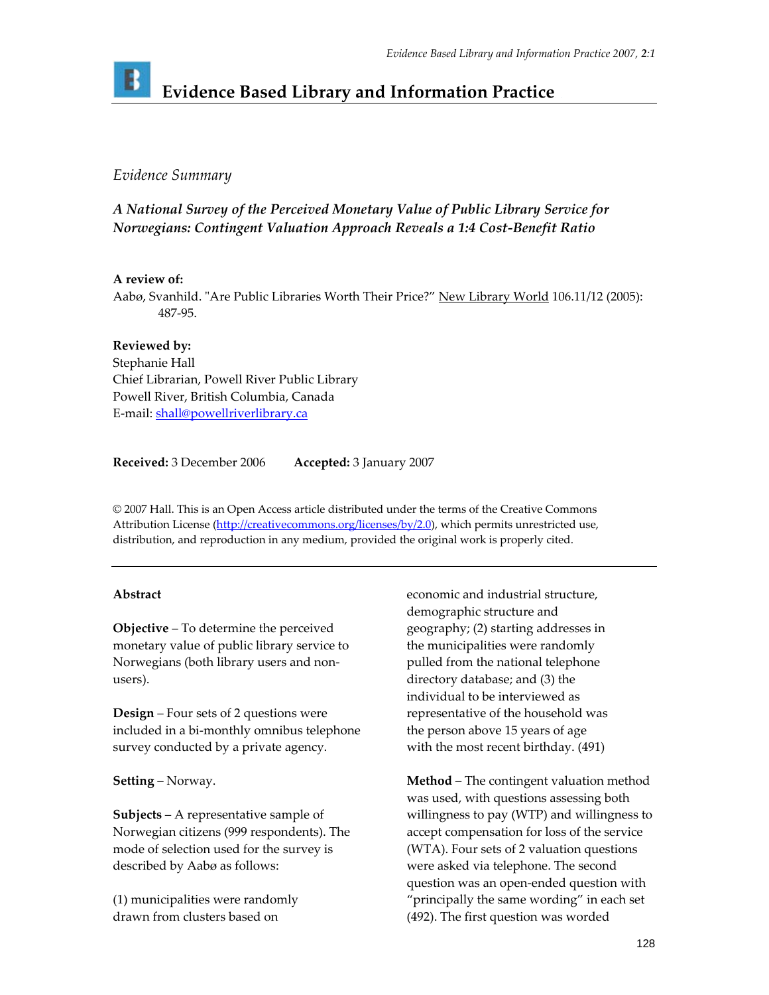# **Evidence Based Library and Information Practice**

## *Evidence Summary*

# *A National Survey of the Perceived Monetary Value of Public Library Service for Norwegians: Contingent Valuation Approach Reveals a 1:4 Cost‐Benefit Ratio*

#### **A review of:**

Aabø, Svanhild. "Are Public Libraries Worth Their Price?" New Library World 106.11/12 (2005): 487‐95.

**Reviewed by:**  Stephanie Hall Chief Librarian, Powell River Public Library Powell River, British Columbia, Canada E-mail: shall@powellriverlibrary.ca

**Received:** 3 December 2006 **Accepted:** 3 January 2007

© 2007 Hall. This is an Open Access article distributed under the terms of the Creative Commons Attribution License [\(http://creativecommons.org/licenses/by/2.0](http://creativecommons.org/licenses/by/2.0)), which permits unrestricted use, distribution, and reproduction in any medium, provided the original work is properly cited.

### **Abstract**

**Objective** – To determine the perceived monetary value of public library service to Norwegians (both library users and non‐ users).

**Design** – Four sets of 2 questions were included in a bi‐monthly omnibus telephone survey conducted by a private agency.

**Setting** – Norway.

**Subjects** – A representative sample of Norwegian citizens (999 respondents). The mode of selection used for the survey is described by Aabø as follows:

(1) municipalities were randomly drawn from clusters based on

economic and industrial structure, demographic structure and geography; (2) starting addresses in the municipalities were randomly pulled from the national telephone directory database; and (3) the individual to be interviewed as representative of the household was the person above 15 years of age with the most recent birthday. (491)

**Method** – The contingent valuation method was used, with questions assessing both willingness to pay (WTP) and willingness to accept compensation for loss of the service (WTA). Four sets of 2 valuation questions were asked via telephone. The second question was an open‐ended question with "principally the same wording" in each set (492). The first question was worded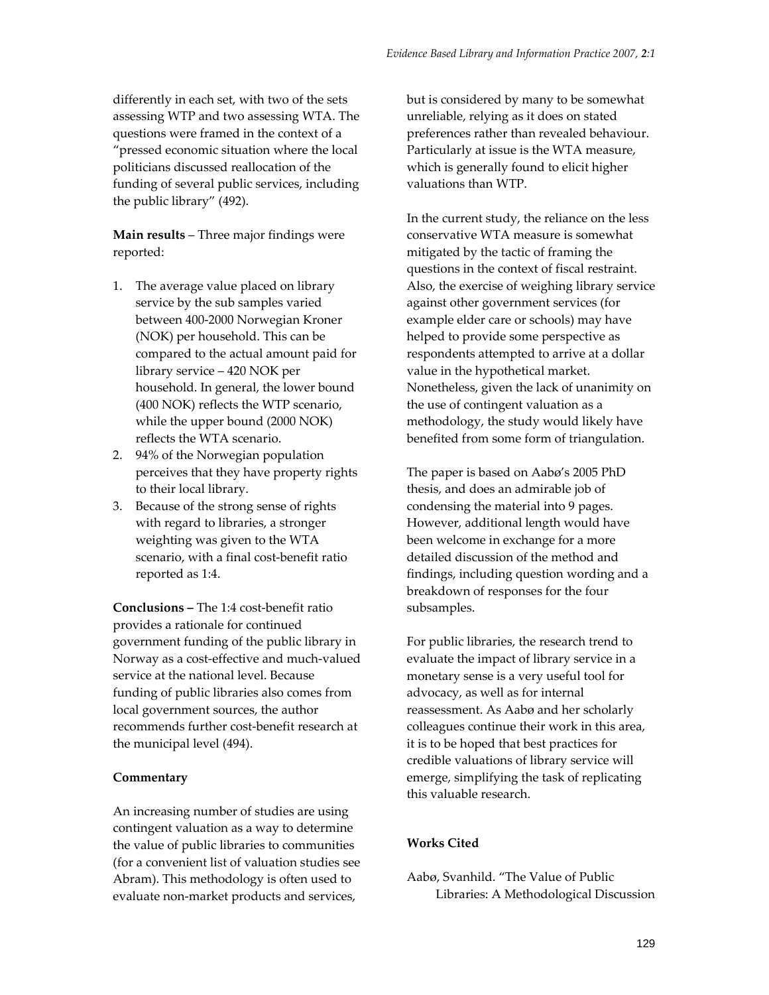differently in each set, with two of the sets assessing WTP and two assessing WTA. The questions were framed in the context of a "pressed economic situation where the local politicians discussed reallocation of the funding of several public services, including the public library" (492).

**Main results** – Three major findings were reported:

- 1. The average value placed on library service by the sub samples varied between 400‐2000 Norwegian Kroner (NOK) per household. This can be compared to the actual amount paid for library service – 420 NOK per household. In general, the lower bound (400 NOK) reflects the WTP scenario, while the upper bound (2000 NOK) reflects the WTA scenario.
- 2. 94% of the Norwegian population perceives that they have property rights to their local library.
- 3. Because of the strong sense of rights with regard to libraries, a stronger weighting was given to the WTA scenario, with a final cost‐benefit ratio reported as 1:4.

**Conclusions –** The 1:4 cost‐benefit ratio provides a rationale for continued government funding of the public library in Norway as a cost‐effective and much‐valued service at the national level. Because funding of public libraries also comes from local government sources, the author recommends further cost‐benefit research at the municipal level (494).

#### **Commentary**

An increasing number of studies are using contingent valuation as a way to determine the value of public libraries to communities (for a convenient list of valuation studies see Abram). This methodology is often used to evaluate non‐market products and services,

but is considered by many to be somewhat unreliable, relying as it does on stated preferences rather than revealed behaviour. Particularly at issue is the WTA measure, which is generally found to elicit higher valuations than WTP.

In the current study, the reliance on the less conservative WTA measure is somewhat mitigated by the tactic of framing the questions in the context of fiscal restraint. Also, the exercise of weighing library service against other government services (for example elder care or schools) may have helped to provide some perspective as respondents attempted to arrive at a dollar value in the hypothetical market. Nonetheless, given the lack of unanimity on the use of contingent valuation as a methodology, the study would likely have benefited from some form of triangulation.

The paper is based on Aabø's 2005 PhD thesis, and does an admirable job of condensing the material into 9 pages. However, additional length would have been welcome in exchange for a more detailed discussion of the method and findings, including question wording and a breakdown of responses for the four subsamples.

For public libraries, the research trend to evaluate the impact of library service in a monetary sense is a very useful tool for advocacy, as well as for internal reassessment. As Aabø and her scholarly colleagues continue their work in this area, it is to be hoped that best practices for credible valuations of library service will emerge, simplifying the task of replicating this valuable research.

#### **Works Cited**

Aabø, Svanhild. "The Value of Public Libraries: A Methodological Discussion